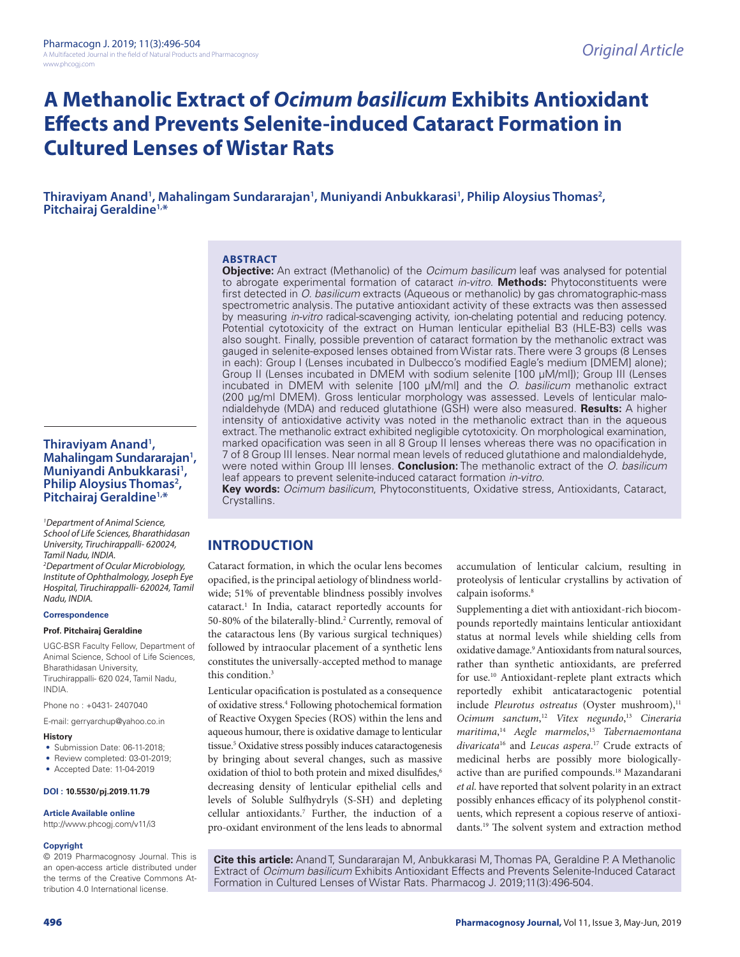# **A Methanolic Extract of** *Ocimum basilicum* **Exhibits Antioxidant Effects and Prevents Selenite-induced Cataract Formation in Cultured Lenses of Wistar Rats**

Thiraviyam Anand', Mahalingam Sundararajan', Muniyandi Anbukkarasi', Philip Aloysius Thomas<sup>2</sup>,<br>Pitchairaj Geraldine<sup>1,\*</sup>

#### **ABSTRACT**

**Objective:** An extract (Methanolic) of the *Ocimum basilicum* leaf was analysed for potential to abrogate experimental formation of cataract *in-vitro*. **Methods:** Phytoconstituents were first detected in *O. basilicum* extracts (Aqueous or methanolic) by gas chromatographic-mass spectrometric analysis. The putative antioxidant activity of these extracts was then assessed by measuring *in-vitro* radical-scavenging activity, ion-chelating potential and reducing potency. Potential cytotoxicity of the extract on Human lenticular epithelial B3 (HLE-B3) cells was also sought. Finally, possible prevention of cataract formation by the methanolic extract was gauged in selenite-exposed lenses obtained from Wistar rats. There were 3 groups (8 Lenses in each): Group I (Lenses incubated in Dulbecco's modified Eagle's medium [DMEM] alone); Group II (Lenses incubated in DMEM with sodium selenite [100 µM/ml]); Group III (Lenses incubated in DMEM with selenite [100 µM/ml] and the *O. basilicum* methanolic extract (200 µg/ml DMEM). Gross lenticular morphology was assessed. Levels of lenticular malondialdehyde (MDA) and reduced glutathione (GSH) were also measured. **Results:** A higher intensity of antioxidative activity was noted in the methanolic extract than in the aqueous extract. The methanolic extract exhibited negligible cytotoxicity. On morphological examination, marked opacification was seen in all 8 Group II lenses whereas there was no opacification in 7 of 8 Group III lenses. Near normal mean levels of reduced glutathione and malondialdehyde, were noted within Group III lenses. **Conclusion:** The methanolic extract of the *O. basilicum*  leaf appears to prevent selenite-induced cataract formation *in-vitro*.

**Key words:** *Ocimum basilicum*, Phytoconstituents, Oxidative stress, Antioxidants, Cataract, Crystallins.

### **INTRODUCTION**

Cataract formation, in which the ocular lens becomes opacified, is the principal aetiology of blindness worldwide; 51% of preventable blindness possibly involves cataract.1 In India, cataract reportedly accounts for 50-80% of the bilaterally-blind.<sup>2</sup> Currently, removal of the cataractous lens (By various surgical techniques) followed by intraocular placement of a synthetic lens constitutes the universally-accepted method to manage this condition.<sup>3</sup>

Lenticular opacification is postulated as a consequence of oxidative stress.<sup>4</sup> Following photochemical formation of Reactive Oxygen Species (ROS) within the lens and aqueous humour, there is oxidative damage to lenticular tissue.<sup>5</sup> Oxidative stress possibly induces cataractogenesis by bringing about several changes, such as massive oxidation of thiol to both protein and mixed disulfides,<sup>6</sup> decreasing density of lenticular epithelial cells and levels of Soluble Sulfhydryls (S-SH) and depleting cellular antioxidants.7 Further, the induction of a pro-oxidant environment of the lens leads to abnormal

accumulation of lenticular calcium, resulting in proteolysis of lenticular crystallins by activation of calpain isoforms.<sup>8</sup>

Supplementing a diet with antioxidant-rich biocompounds reportedly maintains lenticular antioxidant status at normal levels while shielding cells from oxidative damage.9 Antioxidants from natural sources, rather than synthetic antioxidants, are preferred for use.10 Antioxidant-replete plant extracts which reportedly exhibit anticataractogenic potential include Pleurotus ostreatus (Oyster mushroom),<sup>11</sup> *Ocimum sanctum*, <sup>12</sup> *Vitex negundo*, <sup>13</sup> *Cineraria maritima*, <sup>14</sup> *Aegle marmelos*, <sup>15</sup> *Tabernaemontana divaricata*<sup>16</sup> and *Leucas aspera*. 17 Crude extracts of medicinal herbs are possibly more biologicallyactive than are purified compounds.<sup>18</sup> Mazandarani *et al.* have reported that solvent polarity in an extract possibly enhances efficacy of its polyphenol constituents, which represent a copious reserve of antioxidants.19 The solvent system and extraction method

**Cite this article:** Anand T, Sundararajan M, Anbukkarasi M, Thomas PA, Geraldine P. A Methanolic Extract of *Ocimum basilicum* Exhibits Antioxidant Effects and Prevents Selenite-Induced Cataract Formation in Cultured Lenses of Wistar Rats. Pharmacog J. 2019;11(3):496-504.

#### **Thiraviyam Anand<sup>1</sup>,** Thiraviyam Anand<sup>1</sup>,<br>Mahalingam Sundararajan<sup>1</sup> Mahalingam Sundararajan<sup>1</sup>,<br>Muniyandi Anbukkarasi<sup>1</sup>, Muniyandi Anbukkarasi<sup>1</sup>,<br>Philip Aloysius Thomas<sup>2</sup>, **, Pitchairaj Geraldine1,\***

*1 Department of Animal Science, School of Life Sciences, Bharathidasan University, Tiruchirappalli- 620024, Tamil Nadu, INDIA. 2 Department of Ocular Microbiology, Institute of Ophthalmology, Joseph Eye Hospital, Tiruchirappalli- 620024, Tamil Nadu, INDIA.*

#### **Correspondence**

#### **Prof. Pitchairaj Geraldine**

UGC-BSR Faculty Fellow, Department of Animal Science, School of Life Sciences, Bharathidasan University, Tiruchirappalli- 620 024, Tamil Nadu, INDIA.

Phone no : +0431- 2407040

E-mail: gerryarchup@yahoo.co.in

#### **History**

- Submission Date: 06-11-2018;
- Review completed: 03-01-2019; • Accepted Date: 11-04-2019
- 

#### **DOI : 10.5530/pj.2019.11.79**

#### **Article Available online**

http://www.phcogj.com/v11/i3

#### **Copyright**

© 2019 Pharmacognosy Journal. This is an open-access article distributed under the terms of the Creative Commons Attribution 4.0 International license.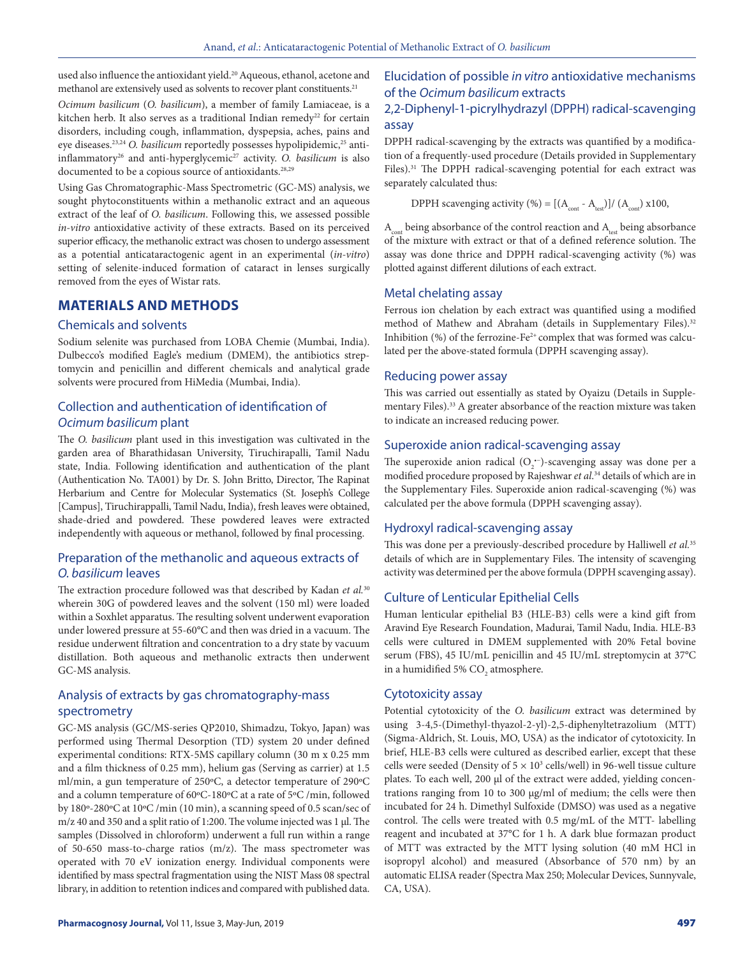used also influence the antioxidant yield.<sup>20</sup> Aqueous, ethanol, acetone and methanol are extensively used as solvents to recover plant constituents.<sup>21</sup>

*Ocimum basilicum* (*O. basilicum*), a member of family Lamiaceae, is a kitchen herb. It also serves as a traditional Indian remedy<sup>22</sup> for certain disorders, including cough, inflammation, dyspepsia, aches, pains and eye diseases.<sup>23,24</sup> O. basilicum reportedly possesses hypolipidemic,<sup>25</sup> antiinflammatory<sup>26</sup> and anti-hyperglycemic<sup>27</sup> activity. O. basilicum is also documented to be a copious source of antioxidants.<sup>28,29</sup>

Using Gas Chromatographic-Mass Spectrometric (GC-MS) analysis, we sought phytoconstituents within a methanolic extract and an aqueous extract of the leaf of *O. basilicum*. Following this, we assessed possible *in-vitro* antioxidative activity of these extracts. Based on its perceived superior efficacy, the methanolic extract was chosen to undergo assessment as a potential anticataractogenic agent in an experimental (*in-vitro*) setting of selenite-induced formation of cataract in lenses surgically removed from the eyes of Wistar rats.

### **MATERIALS AND METHODS**

#### Chemicals and solvents

Sodium selenite was purchased from LOBA Chemie (Mumbai, India). Dulbecco's modified Eagle's medium (DMEM), the antibiotics streptomycin and penicillin and different chemicals and analytical grade solvents were procured from HiMedia (Mumbai, India).

### Collection and authentication of identification of *Ocimum basilicum* plant

The *O. basilicum* plant used in this investigation was cultivated in the garden area of Bharathidasan University, Tiruchirapalli, Tamil Nadu state, India. Following identification and authentication of the plant (Authentication No. TA001) by Dr. S. John Britto, Director, The Rapinat Herbarium and Centre for Molecular Systematics (St. Joseph's College [Campus], Tiruchirappalli, Tamil Nadu, India), fresh leaves were obtained, shade-dried and powdered. These powdered leaves were extracted independently with aqueous or methanol, followed by final processing.

### Preparation of the methanolic and aqueous extracts of *O. basilicum* leaves

The extraction procedure followed was that described by Kadan *et al.*<sup>30</sup> wherein 30G of powdered leaves and the solvent (150 ml) were loaded within a Soxhlet apparatus. The resulting solvent underwent evaporation under lowered pressure at 55-60°C and then was dried in a vacuum. The residue underwent filtration and concentration to a dry state by vacuum distillation. Both aqueous and methanolic extracts then underwent GC-MS analysis.

### Analysis of extracts by gas chromatography-mass spectrometry

GC-MS analysis (GC/MS-series QP2010, Shimadzu, Tokyo, Japan) was performed using Thermal Desorption (TD) system 20 under defined experimental conditions: RTX-5MS capillary column (30 m x 0.25 mm and a film thickness of 0.25 mm), helium gas (Serving as carrier) at 1.5 ml/min, a gun temperature of 250ºC, a detector temperature of 290ºC and a column temperature of 60ºC-180ºC at a rate of 5ºC /min, followed by 180º-280ºC at 10ºC /min (10 min), a scanning speed of 0.5 scan/sec of m/z 40 and 350 and a split ratio of 1:200. The volume injected was 1 µl. The samples (Dissolved in chloroform) underwent a full run within a range of 50-650 mass-to-charge ratios (m/z). The mass spectrometer was operated with 70 eV ionization energy. Individual components were identified by mass spectral fragmentation using the NIST Mass 08 spectral library, in addition to retention indices and compared with published data.

## Elucidation of possible *in vitro* antioxidative mechanisms of the *Ocimum basilicum* extracts

### 2,2-Diphenyl-1-picrylhydrazyl (DPPH) radical-scavenging assay

DPPH radical-scavenging by the extracts was quantified by a modification of a frequently-used procedure (Details provided in Supplementary Files).<sup>31</sup> The DPPH radical-scavenging potential for each extract was separately calculated thus:

DPPH scavenging activity (%) =  $[(A<sub>cont</sub> - A<sub>test</sub>)]/(A<sub>cont</sub>)$  x100,

 $A<sub>cont</sub>$  being absorbance of the control reaction and  $A<sub>test</sub>$  being absorbance of the mixture with extract or that of a defined reference solution. The assay was done thrice and DPPH radical-scavenging activity (%) was plotted against different dilutions of each extract.

### Metal chelating assay

Ferrous ion chelation by each extract was quantified using a modified method of Mathew and Abraham (details in Supplementary Files).<sup>32</sup> Inhibition (%) of the ferrozine-Fe<sup>2+</sup> complex that was formed was calculated per the above-stated formula (DPPH scavenging assay).

#### Reducing power assay

This was carried out essentially as stated by Oyaizu (Details in Supplementary Files).<sup>33</sup> A greater absorbance of the reaction mixture was taken to indicate an increased reducing power.

#### Superoxide anion radical-scavenging assay

The superoxide anion radical  $(O_2^{\bullet -})$ -scavenging assay was done per a modified procedure proposed by Rajeshwar *et al*. 34 details of which are in the Supplementary Files. Superoxide anion radical-scavenging (%) was calculated per the above formula (DPPH scavenging assay).

#### Hydroxyl radical-scavenging assay

This was done per a previously-described procedure by Halliwell *et al.*<sup>35</sup> details of which are in Supplementary Files. The intensity of scavenging activity was determined per the above formula (DPPH scavenging assay).

#### Culture of Lenticular Epithelial Cells

Human lenticular epithelial B3 (HLE-B3) cells were a kind gift from Aravind Eye Research Foundation, Madurai, Tamil Nadu, India. HLE-B3 cells were cultured in DMEM supplemented with 20% Fetal bovine serum (FBS), 45 IU/mL penicillin and 45 IU/mL streptomycin at 37°C in a humidified 5%  $\mathrm{CO}_2$  atmosphere.

#### Cytotoxicity assay

Potential cytotoxicity of the *O. basilicum* extract was determined by using 3-4,5-(Dimethyl-thyazol-2-yl)-2,5-diphenyltetrazolium (MTT) (Sigma-Aldrich, St. Louis, MO, USA) as the indicator of cytotoxicity. In brief, HLE-B3 cells were cultured as described earlier, except that these cells were seeded (Density of  $5 \times 10^3$  cells/well) in 96-well tissue culture plates. To each well, 200 µl of the extract were added, yielding concentrations ranging from 10 to 300 µg/ml of medium; the cells were then incubated for 24 h. Dimethyl Sulfoxide (DMSO) was used as a negative control. The cells were treated with 0.5 mg/mL of the MTT- labelling reagent and incubated at 37°C for 1 h. A dark blue formazan product of MTT was extracted by the MTT lysing solution (40 mM HCl in isopropyl alcohol) and measured (Absorbance of 570 nm) by an automatic ELISA reader (Spectra Max 250; Molecular Devices, Sunnyvale, CA, USA).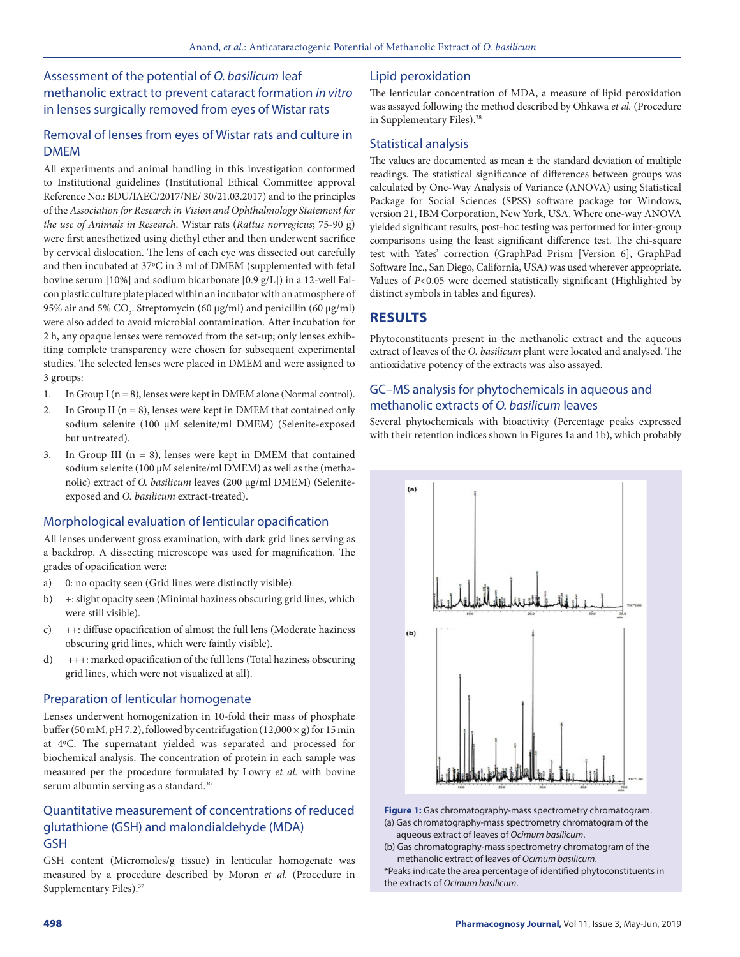### Assessment of the potential of *O. basilicum* leaf methanolic extract to prevent cataract formation *in vitro*  in lenses surgically removed from eyes of Wistar rats

### Removal of lenses from eyes of Wistar rats and culture in DMEM

All experiments and animal handling in this investigation conformed to Institutional guidelines (Institutional Ethical Committee approval Reference No.: BDU/IAEC/2017/NE/ 30/21.03.2017) and to the principles of the *Association for Research in Vision and Ophthalmology Statement for the use of Animals in Research*. Wistar rats (*Rattus norvegicus*; 75-90 g) were first anesthetized using diethyl ether and then underwent sacrifice by cervical dislocation. The lens of each eye was dissected out carefully and then incubated at 37ºC in 3 ml of DMEM (supplemented with fetal bovine serum [10%] and sodium bicarbonate [0.9 g/L]) in a 12-well Falcon plastic culture plate placed within an incubator with an atmosphere of 95% air and 5%  $CO_2$ . Streptomycin (60 μg/ml) and penicillin (60 μg/ml) were also added to avoid microbial contamination. After incubation for 2 h, any opaque lenses were removed from the set-up; only lenses exhibiting complete transparency were chosen for subsequent experimental studies. The selected lenses were placed in DMEM and were assigned to 3 groups:

- 1. In Group I ( $n = 8$ ), lenses were kept in DMEM alone (Normal control).
- 2. In Group II ( $n = 8$ ), lenses were kept in DMEM that contained only sodium selenite (100 µM selenite/ml DMEM) (Selenite-exposed but untreated).
- 3. In Group III ( $n = 8$ ), lenses were kept in DMEM that contained sodium selenite (100  $\mu$ M selenite/ml DMEM) as well as the (methanolic) extract of *O. basilicum* leaves (200 µg/ml DMEM) (Seleniteexposed and *O. basilicum* extract-treated).

#### Morphological evaluation of lenticular opacification

All lenses underwent gross examination, with dark grid lines serving as a backdrop. A dissecting microscope was used for magnification. The grades of opacification were:

- a) 0: no opacity seen (Grid lines were distinctly visible).
- b) +: slight opacity seen (Minimal haziness obscuring grid lines, which were still visible).
- c) ++: diffuse opacification of almost the full lens (Moderate haziness obscuring grid lines, which were faintly visible).
- d) +++: marked opacification of the full lens (Total haziness obscuring grid lines, which were not visualized at all).

#### Preparation of lenticular homogenate

Lenses underwent homogenization in 10-fold their mass of phosphate buffer (50 mM, pH 7.2), followed by centrifugation (12,000  $\times$  g) for 15 min at 4ºC. The supernatant yielded was separated and processed for biochemical analysis. The concentration of protein in each sample was measured per the procedure formulated by Lowry *et al.* with bovine serum albumin serving as a standard.<sup>36</sup>

### Quantitative measurement of concentrations of reduced glutathione (GSH) and malondialdehyde (MDA) GSH

GSH content (Micromoles/g tissue) in lenticular homogenate was measured by a procedure described by Moron *et al.* (Procedure in Supplementary Files).<sup>37</sup>

### Lipid peroxidation

The lenticular concentration of MDA, a measure of lipid peroxidation was assayed following the method described by Ohkawa *et al.* (Procedure in Supplementary Files).<sup>38</sup>

### Statistical analysis

The values are documented as mean  $\pm$  the standard deviation of multiple readings. The statistical significance of differences between groups was calculated by One-Way Analysis of Variance (ANOVA) using Statistical Package for Social Sciences (SPSS) software package for Windows, version 21, IBM Corporation, New York, USA. Where one-way ANOVA yielded significant results, post-hoc testing was performed for inter-group comparisons using the least significant difference test. The chi-square test with Yates' correction (GraphPad Prism [Version 6], GraphPad Software Inc., San Diego, California, USA) was used wherever appropriate. Values of *P*<0.05 were deemed statistically significant (Highlighted by distinct symbols in tables and figures).

### **RESULTS**

Phytoconstituents present in the methanolic extract and the aqueous extract of leaves of the *O. basilicum* plant were located and analysed. The antioxidative potency of the extracts was also assayed.

### GC–MS analysis for phytochemicals in aqueous and methanolic extracts of *O. basilicum* leaves

Several phytochemicals with bioactivity (Percentage peaks expressed with their retention indices shown in Figures 1a and 1b), which probably



**Figure 1:** Gas chromatography-mass spectrometry chromatogram. (a) Gas chromatography-mass spectrometry chromatogram of the aqueous extract of leaves of *Ocimum basilicum*.

(b) Gas chromatography-mass spectrometry chromatogram of the methanolic extract of leaves of *Ocimum basilicum*.

\*Peaks indicate the area percentage of identified phytoconstituents in the extracts of *Ocimum basilicum*.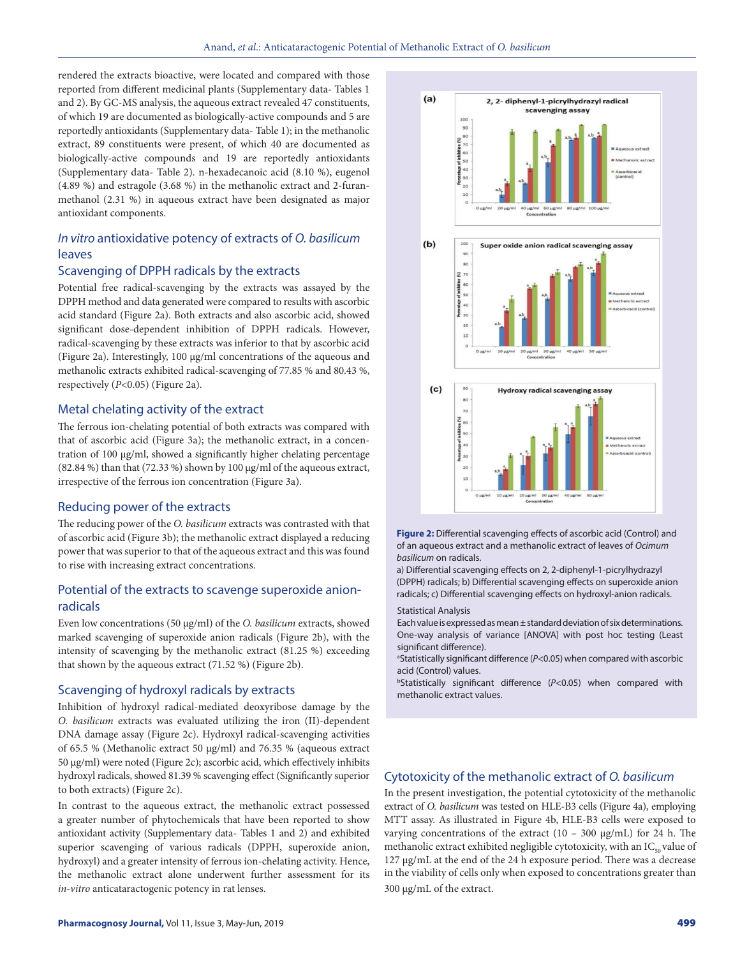rendered the extracts bioactive, were located and compared with those reported from different medicinal plants (Supplementary data- Tables 1 and 2). By GC-MS analysis, the aqueous extract revealed 47 constituents, of which 19 are documented as biologically-active compounds and 5 are reportedly antioxidants (Supplementary data- Table 1); in the methanolic extract, 89 constituents were present, of which 40 are documented as biologically-active compounds and 19 are reportedly antioxidants (Supplementary data- Table 2). n-hexadecanoic acid (8.10 %), eugenol (4.89 %) and estragole (3.68 %) in the methanolic extract and 2-furanmethanol (2.31 %) in aqueous extract have been designated as major antioxidant components.

### *In vitro* antioxidative potency of extracts of *O. basilicum* leaves

#### Scavenging of DPPH radicals by the extracts

Potential free radical-scavenging by the extracts was assayed by the DPPH method and data generated were compared to results with ascorbic acid standard (Figure 2a). Both extracts and also ascorbic acid, showed significant dose-dependent inhibition of DPPH radicals. However, radical-scavenging by these extracts was inferior to that by ascorbic acid (Figure 2a). Interestingly, 100 µg/ml concentrations of the aqueous and methanolic extracts exhibited radical-scavenging of 77.85 % and 80.43 %, respectively (*P*<0.05) (Figure 2a).

#### Metal chelating activity of the extract

The ferrous ion-chelating potential of both extracts was compared with that of ascorbic acid (Figure 3a); the methanolic extract, in a concentration of 100 µg/ml, showed a significantly higher chelating percentage (82.84 %) than that (72.33 %) shown by 100 µg/ml of the aqueous extract, irrespective of the ferrous ion concentration (Figure 3a).

#### Reducing power of the extracts

The reducing power of the *O. basilicum* extracts was contrasted with that of ascorbic acid (Figure 3b); the methanolic extract displayed a reducing power that was superior to that of the aqueous extract and this was found to rise with increasing extract concentrations.

### Potential of the extracts to scavenge superoxide anionradicals

Even low concentrations (50 µg/ml) of the *O. basilicum* extracts, showed marked scavenging of superoxide anion radicals (Figure 2b), with the intensity of scavenging by the methanolic extract (81.25 %) exceeding that shown by the aqueous extract (71.52 %) (Figure 2b).

#### Scavenging of hydroxyl radicals by extracts

Inhibition of hydroxyl radical-mediated deoxyribose damage by the *O. basilicum* extracts was evaluated utilizing the iron (II)-dependent DNA damage assay (Figure 2c). Hydroxyl radical-scavenging activities of 65.5 % (Methanolic extract 50 µg/ml) and 76.35 % (aqueous extract 50 µg/ml) were noted (Figure 2c); ascorbic acid, which effectively inhibits hydroxyl radicals, showed 81.39 % scavenging effect (Significantly superior to both extracts) (Figure 2c).

In contrast to the aqueous extract, the methanolic extract possessed a greater number of phytochemicals that have been reported to show antioxidant activity (Supplementary data- Tables 1 and 2) and exhibited superior scavenging of various radicals (DPPH, superoxide anion, hydroxyl) and a greater intensity of ferrous ion-chelating activity. Hence, the methanolic extract alone underwent further assessment for its *in-vitro* anticataractogenic potency in rat lenses.



**Figure 2:** Differential scavenging effects of ascorbic acid (Control) and of an aqueous extract and a methanolic extract of leaves of *Ocimum basilicum* on radicals.

a) Differential scavenging effects on 2, 2-diphenyl-1-picrylhydrazyl (DPPH) radicals; b) Differential scavenging effects on superoxide anion radicals; c) Differential scavenging effects on hydroxyl-anion radicals.

#### Statistical Analysis

Each value is expressed as mean  $\pm$  standard deviation of six determinations. One-way analysis of variance [ANOVA] with post hoc testing (Least significant difference).

<sup>a</sup>Statistically significant difference (*P<*0.05) when compared with ascorbic acid (Control) values.

b Statistically significant difference (*P*<0.05) when compared with methanolic extract values.

#### Cytotoxicity of the methanolic extract of *O. basilicum*

In the present investigation, the potential cytotoxicity of the methanolic extract of *O. basilicum* was tested on HLE-B3 cells (Figure 4a), employing MTT assay. As illustrated in Figure 4b, HLE-B3 cells were exposed to varying concentrations of the extract (10 – 300 μg/mL) for 24 h. The methanolic extract exhibited negligible cytotoxicity, with an  $IC_{50}$  value of 127 μg/mL at the end of the 24 h exposure period. There was a decrease in the viability of cells only when exposed to concentrations greater than 300 μg/mL of the extract.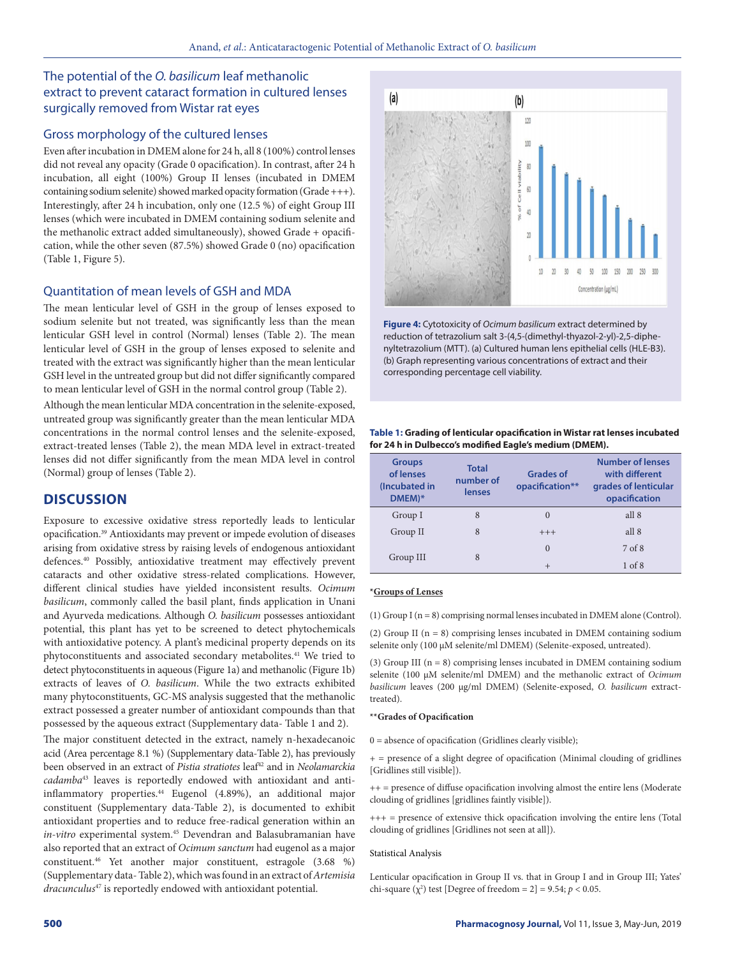### The potential of the *O. basilicum* leaf methanolic extract to prevent cataract formation in cultured lenses surgically removed from Wistar rat eyes

#### Gross morphology of the cultured lenses

Even after incubation in DMEM alone for 24 h, all 8 (100%) control lenses did not reveal any opacity (Grade 0 opacification). In contrast, after 24 h incubation, all eight (100%) Group II lenses (incubated in DMEM containing sodium selenite) showed marked opacity formation (Grade +++). Interestingly, after 24 h incubation, only one (12.5 %) of eight Group III lenses (which were incubated in DMEM containing sodium selenite and the methanolic extract added simultaneously), showed Grade + opacification, while the other seven (87.5%) showed Grade 0 (no) opacification (Table 1, Figure 5).

#### Quantitation of mean levels of GSH and MDA

The mean lenticular level of GSH in the group of lenses exposed to sodium selenite but not treated, was significantly less than the mean lenticular GSH level in control (Normal) lenses (Table 2). The mean lenticular level of GSH in the group of lenses exposed to selenite and treated with the extract was significantly higher than the mean lenticular GSH level in the untreated group but did not differ significantly compared to mean lenticular level of GSH in the normal control group (Table 2).

Although the mean lenticular MDA concentration in the selenite-exposed, untreated group was significantly greater than the mean lenticular MDA concentrations in the normal control lenses and the selenite-exposed, extract-treated lenses (Table 2), the mean MDA level in extract-treated lenses did not differ significantly from the mean MDA level in control (Normal) group of lenses (Table 2).

### **DISCUSSION**

Exposure to excessive oxidative stress reportedly leads to lenticular opacification.39 Antioxidants may prevent or impede evolution of diseases arising from oxidative stress by raising levels of endogenous antioxidant defences.40 Possibly, antioxidative treatment may effectively prevent cataracts and other oxidative stress-related complications. However, different clinical studies have yielded inconsistent results. *Ocimum basilicum*, commonly called the basil plant, finds application in Unani and Ayurveda medications. Although *O. basilicum* possesses antioxidant potential, this plant has yet to be screened to detect phytochemicals with antioxidative potency. A plant's medicinal property depends on its phytoconstituents and associated secondary metabolites.<sup>41</sup> We tried to detect phytoconstituents in aqueous (Figure 1a) and methanolic (Figure 1b) extracts of leaves of *O. basilicum*. While the two extracts exhibited many phytoconstituents, GC-MS analysis suggested that the methanolic extract possessed a greater number of antioxidant compounds than that possessed by the aqueous extract (Supplementary data- Table 1 and 2).

The major constituent detected in the extract, namely n-hexadecanoic acid (Area percentage 8.1 %) (Supplementary data-Table 2), has previously been observed in an extract of *Pistia stratiotes* leaf<sup>42</sup> and in *Neolamarckia cadamba*43 leaves is reportedly endowed with antioxidant and antiinflammatory properties.44 Eugenol (4.89%), an additional major constituent (Supplementary data-Table 2), is documented to exhibit antioxidant properties and to reduce free-radical generation within an *in-vitro* experimental system.45 Devendran and Balasubramanian have also reported that an extract of *Ocimum sanctum* had eugenol as a major constituent.46 Yet another major constituent, estragole (3.68 %) (Supplementary data- Table 2), which was found in an extract of *Artemisia dracunculus*47 is reportedly endowed with antioxidant potential.



**Figure 4:** Cytotoxicity of *Ocimum basilicum* extract determined by reduction of tetrazolium salt 3-(4,5-(dimethyl-thyazol-2-yl)-2,5-diphenyltetrazolium (MTT). (a) Cultured human lens epithelial cells (HLE-B3). (b) Graph representing various concentrations of extract and their corresponding percentage cell viability.

| Table 1: Grading of lenticular opacification in Wistar rat lenses incubated |
|-----------------------------------------------------------------------------|
| for 24 h in Dulbecco's modified Eagle's medium (DMEM).                      |

| <b>Groups</b><br>of lenses<br>(Incubated in<br>DMEM)* | <b>Total</b><br>number of<br>lenses | <b>Grades of</b><br>opacification** | <b>Number of lenses</b><br>with different<br>grades of lenticular<br>opacification |
|-------------------------------------------------------|-------------------------------------|-------------------------------------|------------------------------------------------------------------------------------|
| Group I                                               | 8                                   | $\Omega$                            | all 8                                                                              |
| Group II                                              | 8                                   | $+++$                               | all 8                                                                              |
| Group III                                             | 8                                   | $\Omega$                            | 7 of 8                                                                             |
|                                                       |                                     | $^{+}$                              | $1$ of $8$                                                                         |

#### **\*Groups of Lenses**

(1) Group I (n = 8) comprising normal lenses incubated in DMEM alone (Control).

(2) Group II ( $n = 8$ ) comprising lenses incubated in DMEM containing sodium selenite only (100 µM selenite/ml DMEM) (Selenite-exposed, untreated).

(3) Group III  $(n = 8)$  comprising lenses incubated in DMEM containing sodium selenite (100 µM selenite/ml DMEM) and the methanolic extract of *Ocimum basilicum* leaves (200 µg/ml DMEM) (Selenite-exposed, *O. basilicum* extracttreated).

#### **\*\*Grades of Opacification**

 $0 =$  absence of opacification (Gridlines clearly visible);

+ = presence of a slight degree of opacification (Minimal clouding of gridlines [Gridlines still visible]).

++ = presence of diffuse opacification involving almost the entire lens (Moderate clouding of gridlines [gridlines faintly visible]).

+++ = presence of extensive thick opacification involving the entire lens (Total clouding of gridlines [Gridlines not seen at all]).

#### Statistical Analysis

Lenticular opacification in Group II vs. that in Group I and in Group III; Yates' chi-square  $(\chi^2)$  test [Degree of freedom = 2] = 9.54;  $p < 0.05$ .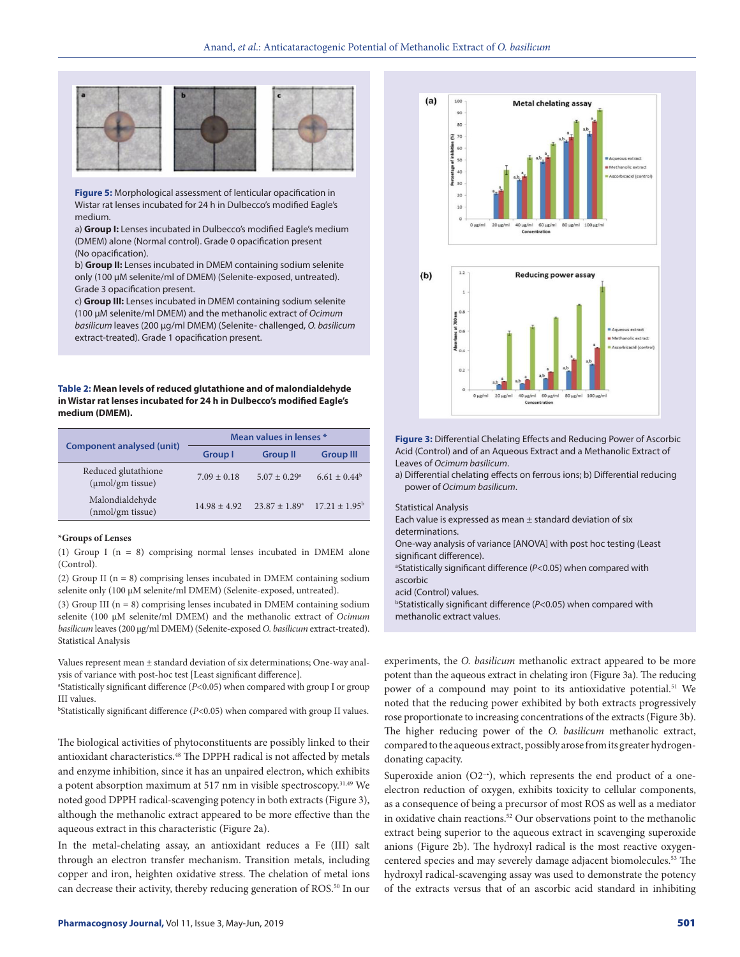

**Figure 5:** Morphological assessment of lenticular opacification in Wistar rat lenses incubated for 24 h in Dulbecco's modified Eagle's medium.

a) **Group I:** Lenses incubated in Dulbecco's modified Eagle's medium (DMEM) alone (Normal control). Grade 0 opacification present (No opacification).

b) **Group II:** Lenses incubated in DMEM containing sodium selenite only (100 µM selenite/ml of DMEM) (Selenite-exposed, untreated). Grade 3 opacification present.

c) **Group III:** Lenses incubated in DMEM containing sodium selenite (100 µM selenite/ml DMEM) and the methanolic extract of *Ocimum basilicum* leaves (200 µg/ml DMEM) (Selenite- challenged, *O. basilicum* extract-treated). Grade 1 opacification present.

**Table 2: Mean levels of reduced glutathione and of malondialdehyde in Wistar rat lenses incubated for 24 h in Dulbecco's modified Eagle's medium (DMEM).**

| <b>Component analysed (unit)</b>             | Mean values in lenses * |                              |                          |  |
|----------------------------------------------|-------------------------|------------------------------|--------------------------|--|
|                                              | Group I                 | <b>Group II</b>              | <b>Group III</b>         |  |
| Reduced glutathione<br>$(\mu$ mol/gm tissue) | $7.09 \pm 0.18$         | $5.07 \pm 0.29$ <sup>a</sup> | $6.61 \pm 0.44^b$        |  |
| Malondialdehyde<br>(nmol/gm tissue)          | $14.98 + 4.92$          | $23.87 + 1.89^{\circ}$       | $17.21 \pm 1.95^{\circ}$ |  |

#### **\*Groups of Lenses**

(1) Group I (n = 8) comprising normal lenses incubated in DMEM alone (Control).

(2) Group II (n = 8) comprising lenses incubated in DMEM containing sodium selenite only (100 µM selenite/ml DMEM) (Selenite-exposed, untreated).

(3) Group III ( $n = 8$ ) comprising lenses incubated in DMEM containing sodium selenite (100 µM selenite/ml DMEM) and the methanolic extract of *Ocimum basilicum* leaves (200 µg/ml DMEM) (Selenite-exposed *O. basilicum* extract-treated). Statistical Analysis

Values represent mean ± standard deviation of six determinations; One-way analysis of variance with post-hoc test [Least significant difference].

a Statistically significant difference (*P*<0.05) when compared with group I or group III values.

b Statistically significant difference (*P*<0.05) when compared with group II values.

The biological activities of phytoconstituents are possibly linked to their antioxidant characteristics.48 The DPPH radical is not affected by metals and enzyme inhibition, since it has an unpaired electron, which exhibits a potent absorption maximum at 517 nm in visible spectroscopy.31,49 We noted good DPPH radical-scavenging potency in both extracts (Figure 3), although the methanolic extract appeared to be more effective than the aqueous extract in this characteristic (Figure 2a).

In the metal-chelating assay, an antioxidant reduces a Fe (III) salt through an electron transfer mechanism. Transition metals, including copper and iron, heighten oxidative stress. The chelation of metal ions can decrease their activity, thereby reducing generation of ROS.<sup>50</sup> In our





**Figure 3:** Differential Chelating Effects and Reducing Power of Ascorbic Acid (Control) and of an Aqueous Extract and a Methanolic Extract of Leaves of *Ocimum basilicum*.

a) Differential chelating effects on ferrous ions; b) Differential reducing power of *Ocimum basilicum*.

Statistical Analysis

Each value is expressed as mean  $\pm$  standard deviation of six determinations.

One-way analysis of variance [ANOVA] with post hoc testing (Least significant difference).

<sup>a</sup>Statistically significant difference (P<0.05) when compared with ascorbic

acid (Control) values.

b Statistically significant difference (*P*<0.05) when compared with methanolic extract values.

experiments, the *O. basilicum* methanolic extract appeared to be more potent than the aqueous extract in chelating iron (Figure 3a). The reducing power of a compound may point to its antioxidative potential.<sup>51</sup> We noted that the reducing power exhibited by both extracts progressively rose proportionate to increasing concentrations of the extracts (Figure 3b). The higher reducing power of the *O. basilicum* methanolic extract, compared to the aqueous extract, possibly arose from its greater hydrogendonating capacity.

Superoxide anion (O2−•), which represents the end product of a oneelectron reduction of oxygen, exhibits toxicity to cellular components, as a consequence of being a precursor of most ROS as well as a mediator in oxidative chain reactions.<sup>52</sup> Our observations point to the methanolic extract being superior to the aqueous extract in scavenging superoxide anions (Figure 2b). The hydroxyl radical is the most reactive oxygencentered species and may severely damage adjacent biomolecules.53 The hydroxyl radical-scavenging assay was used to demonstrate the potency of the extracts versus that of an ascorbic acid standard in inhibiting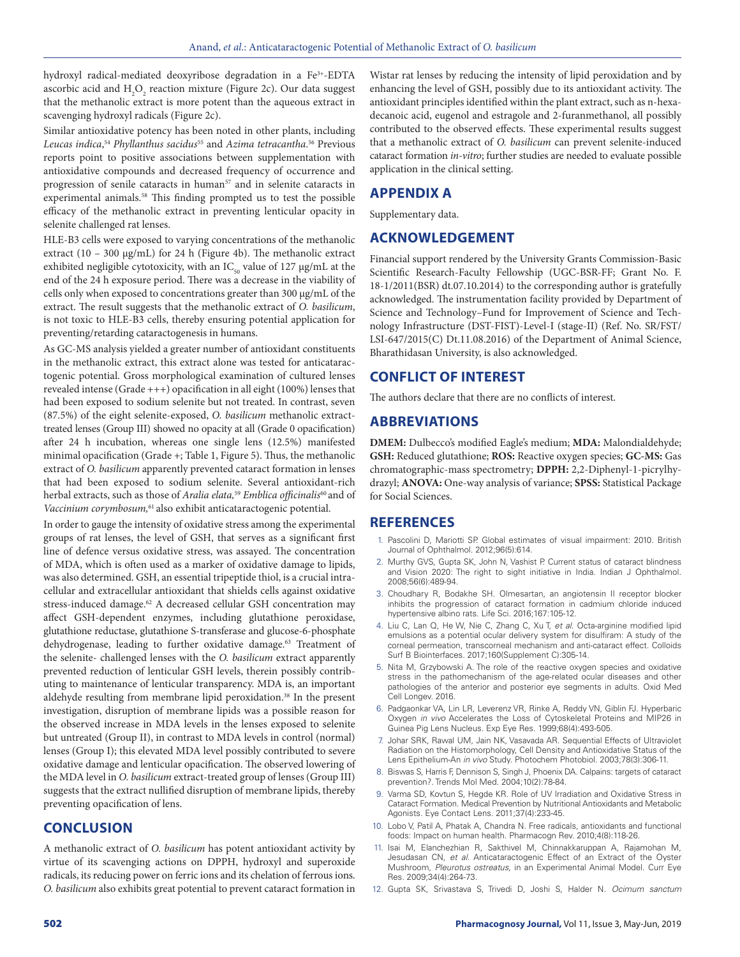hydroxyl radical-mediated deoxyribose degradation in a Fe<sup>3+</sup>-EDTA ascorbic acid and  $\mathrm{H}_2\mathrm{O}_2$  reaction mixture (Figure 2c). Our data suggest that the methanolic extract is more potent than the aqueous extract in scavenging hydroxyl radicals (Figure 2c).

Similar antioxidative potency has been noted in other plants, including *Leucas indica*, <sup>54</sup> *Phyllanthus sacidus*55 and *Azima tetracantha*. 56 Previous reports point to positive associations between supplementation with antioxidative compounds and decreased frequency of occurrence and progression of senile cataracts in human<sup>57</sup> and in selenite cataracts in experimental animals.<sup>58</sup> This finding prompted us to test the possible efficacy of the methanolic extract in preventing lenticular opacity in selenite challenged rat lenses.

HLE-B3 cells were exposed to varying concentrations of the methanolic extract (10 – 300 μg/mL) for 24 h (Figure 4b). The methanolic extract exhibited negligible cytotoxicity, with an  $IC_{50}$  value of 127 µg/mL at the end of the 24 h exposure period. There was a decrease in the viability of cells only when exposed to concentrations greater than 300 μg/mL of the extract. The result suggests that the methanolic extract of *O. basilicum*, is not toxic to HLE-B3 cells, thereby ensuring potential application for preventing/retarding cataractogenesis in humans.

As GC-MS analysis yielded a greater number of antioxidant constituents in the methanolic extract, this extract alone was tested for anticataractogenic potential. Gross morphological examination of cultured lenses revealed intense (Grade  $++$ ) opacification in all eight (100%) lenses that had been exposed to sodium selenite but not treated. In contrast, seven (87.5%) of the eight selenite-exposed, *O. basilicum* methanolic extracttreated lenses (Group III) showed no opacity at all (Grade 0 opacification) after 24 h incubation, whereas one single lens (12.5%) manifested minimal opacification (Grade +; Table 1, Figure 5). Thus, the methanolic extract of *O. basilicum* apparently prevented cataract formation in lenses that had been exposed to sodium selenite. Several antioxidant-rich herbal extracts, such as those of *Aralia elata,*<sup>59</sup> *Emblica officinalis*60 and of *Vaccinium corymbosum,*61 also exhibit anticataractogenic potential.

In order to gauge the intensity of oxidative stress among the experimental groups of rat lenses, the level of GSH, that serves as a significant first line of defence versus oxidative stress, was assayed. The concentration of MDA, which is often used as a marker of oxidative damage to lipids, was also determined. GSH, an essential tripeptide thiol, is a crucial intracellular and extracellular antioxidant that shields cells against oxidative stress-induced damage.<sup>62</sup> A decreased cellular GSH concentration may affect GSH-dependent enzymes, including glutathione peroxidase, glutathione reductase, glutathione S-transferase and glucose-6-phosphate dehydrogenase, leading to further oxidative damage.<sup>63</sup> Treatment of the selenite- challenged lenses with the *O. basilicum* extract apparently prevented reduction of lenticular GSH levels, therein possibly contributing to maintenance of lenticular transparency. MDA is, an important aldehyde resulting from membrane lipid peroxidation.<sup>38</sup> In the present investigation, disruption of membrane lipids was a possible reason for the observed increase in MDA levels in the lenses exposed to selenite but untreated (Group II), in contrast to MDA levels in control (normal) lenses (Group I); this elevated MDA level possibly contributed to severe oxidative damage and lenticular opacification. The observed lowering of the MDA level in *O. basilicum* extract-treated group of lenses (Group III) suggests that the extract nullified disruption of membrane lipids, thereby preventing opacification of lens.

#### **CONCLUSION**

A methanolic extract of *O. basilicum* has potent antioxidant activity by virtue of its scavenging actions on DPPH, hydroxyl and superoxide radicals, its reducing power on ferric ions and its chelation of ferrous ions. *O. basilicum* also exhibits great potential to prevent cataract formation in

Wistar rat lenses by reducing the intensity of lipid peroxidation and by enhancing the level of GSH, possibly due to its antioxidant activity. The antioxidant principles identified within the plant extract, such as n-hexadecanoic acid, eugenol and estragole and 2-furanmethanol, all possibly contributed to the observed effects. These experimental results suggest that a methanolic extract of *O. basilicum* can prevent selenite-induced cataract formation *in-vitro*; further studies are needed to evaluate possible application in the clinical setting.

### **APPENDIX A**

Supplementary data.

### **ACKNOWLEDGEMENT**

Financial support rendered by the University Grants Commission-Basic Scientific Research-Faculty Fellowship (UGC-BSR-FF; Grant No. F. 18-1/2011(BSR) dt.07.10.2014) to the corresponding author is gratefully acknowledged. The instrumentation facility provided by Department of Science and Technology–Fund for Improvement of Science and Technology Infrastructure (DST-FIST)-Level-I (stage-II) (Ref. No. SR/FST/ LSI-647/2015(C) Dt.11.08.2016) of the Department of Animal Science, Bharathidasan University, is also acknowledged.

#### **CONFLICT OF INTEREST**

The authors declare that there are no conflicts of interest.

#### **ABBREVIATIONS**

**DMEM:** Dulbecco's modified Eagle's medium; **MDA:** Malondialdehyde; **GSH:** Reduced glutathione; **ROS:** Reactive oxygen species; **GC-MS:** Gas chromatographic-mass spectrometry; **DPPH:** 2,2-Diphenyl-1-picrylhydrazyl; **ANOVA:** One-way analysis of variance; **SPSS:** Statistical Package for Social Sciences.

#### **REFERENCES**

- 1. Pascolini D, Mariotti SP. Global estimates of visual impairment: 2010. British Journal of Ophthalmol. 2012;96(5):614.
- 2. Murthy GVS, Gupta SK, John N, Vashist P. Current status of cataract blindness and Vision 2020: The right to sight initiative in India. Indian J Ophthalmol. 2008;56(6):489-94.
- 3. Choudhary R, Bodakhe SH. Olmesartan, an angiotensin II receptor blocker inhibits the progression of cataract formation in cadmium chloride induced hypertensive albino rats. Life Sci. 2016;167:105-12.
- 4. Liu C, Lan Q, He W, Nie C, Zhang C, Xu T, *et al*. Octa-arginine modified lipid emulsions as a potential ocular delivery system for disulfiram: A study of the corneal permeation, transcorneal mechanism and anti-cataract effect. Colloids Surf B Biointerfaces. 2017;160(Supplement C):305-14.
- 5. Nita M, Grzybowski A. The role of the reactive oxygen species and oxidative stress in the pathomechanism of the age-related ocular diseases and other pathologies of the anterior and posterior eye segments in adults. Oxid Med Cell Longev. 2016.
- 6. Padgaonkar VA, Lin LR, Leverenz VR, Rinke A, Reddy VN, Giblin FJ. Hyperbaric Oxygen *in vivo* Accelerates the Loss of Cytoskeletal Proteins and MIP26 in Guinea Pig Lens Nucleus. Exp Eye Res. 1999;68(4):493-505.
- 7. Johar SRK, Rawal UM, Jain NK, Vasavada AR. Sequential Effects of Ultraviolet Radiation on the Histomorphology, Cell Density and Antioxidative Status of the Lens Epithelium-An *in vivo* Study. Photochem Photobiol. 2003;78(3):306-11.
- 8. Biswas S, Harris F, Dennison S, Singh J, Phoenix DA. Calpains: targets of cataract prevention?. Trends Mol Med. 2004;10(2):78-84.
- 9. Varma SD, Kovtun S, Hegde KR. Role of UV Irradiation and Oxidative Stress in Cataract Formation. Medical Prevention by Nutritional Antioxidants and Metabolic Agonists. Eye Contact Lens. 2011;37(4):233-45.
- 10. Lobo V, Patil A, Phatak A, Chandra N. Free radicals, antioxidants and functional foods: Impact on human health. Pharmacogn Rev. 2010;4(8):118-26.
- 11. Isai M, Elanchezhian R, Sakthivel M, Chinnakkaruppan A, Rajamohan M, Jesudasan CN, *et al*. Anticataractogenic Effect of an Extract of the Oyster Mushroom, *Pleurotus ostreatus*, in an Experimental Animal Model. Curr Eye Res. 2009;34(4):264-73.
- 12. Gupta SK, Srivastava S, Trivedi D, Joshi S, Halder N. *Ocimum sanctum*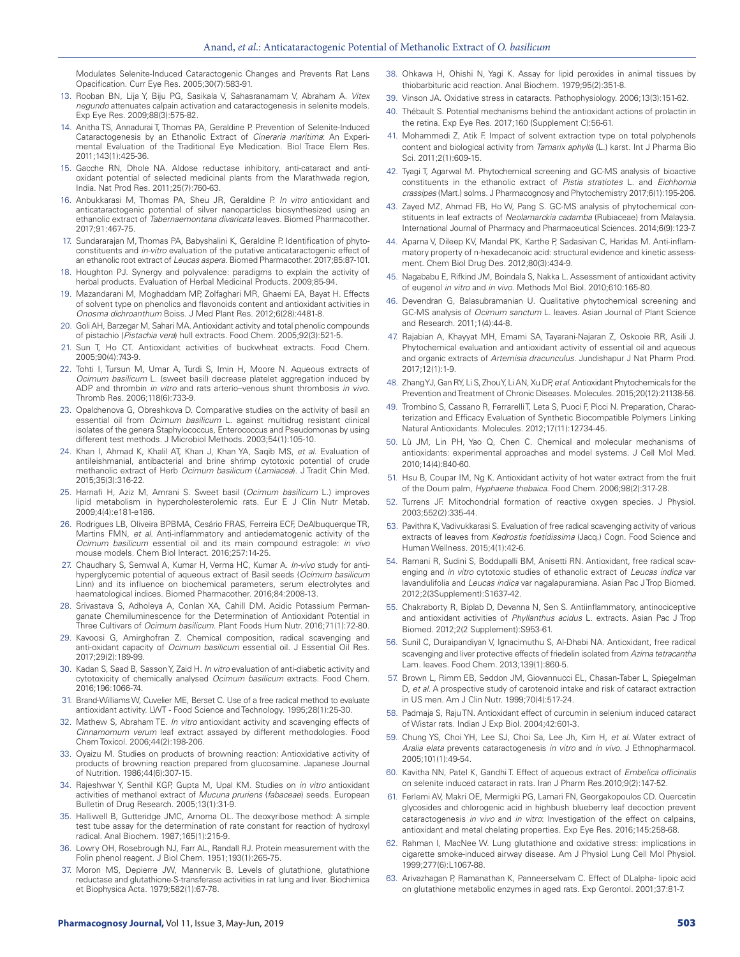Modulates Selenite-Induced Cataractogenic Changes and Prevents Rat Lens Opacification. Curr Eye Res. 2005;30(7):583-91.

- 13. Rooban BN, Lija Y, Biju PG, Sasikala V, Sahasranamam V, Abraham A. *Vitex negundo* attenuates calpain activation and cataractogenesis in selenite models. Exp Eye Res. 2009;88(3):575-82.
- 14. Anitha TS, Annadurai T, Thomas PA, Geraldine P. Prevention of Selenite-Induced Cataractogenesis by an Ethanolic Extract of *Cineraria maritima*: An Experimental Evaluation of the Traditional Eye Medication. Biol Trace Elem Res. 2011;143(1):425-36.
- 15. Gacche RN, Dhole NA. Aldose reductase inhibitory, anti-cataract and antioxidant potential of selected medicinal plants from the Marathwada region, India. Nat Prod Res. 2011;25(7):760-63.
- 16. Anbukkarasi M, Thomas PA, Sheu JR, Geraldine P. *In vitro* antioxidant and anticataractogenic potential of silver nanoparticles biosynthesized using an ethanolic extract of *Tabernaemontana divaricata* leaves. Biomed Pharmacother. 2017;91:467-75.
- 17. Sundararajan M, Thomas PA, Babyshalini K, Geraldine P. Identification of phytoconstituents and *in-vitro* evaluation of the putative anticataractogenic effect of an ethanolic root extract of *Leucas aspera*. Biomed Pharmacother. 2017;85:87-101.
- 18. Houghton PJ. Synergy and polyvalence: paradigms to explain the activity of herbal products. Evaluation of Herbal Medicinal Products. 2009;85-94.
- 19. Mazandarani M, Moghaddam MP, Zolfaghari MR, Ghaemi EA, Bayat H. Effects of solvent type on phenolics and flavonoids content and antioxidant activities in *Onosma dichroanthum* Boiss. J Med Plant Res. 2012;6(28):4481-8.
- 20. Goli AH, Barzegar M, Sahari MA. Antioxidant activity and total phenolic compounds of pistachio (*Pistachia vera*) hull extracts. Food Chem. 2005;92(3):521-5.
- 21. Sun T, Ho CT. Antioxidant activities of buckwheat extracts. Food Chem. 2005;90(4):743-9.
- 22. Tohti I, Tursun M, Umar A, Turdi S, Imin H, Moore N. Aqueous extracts of *Ocimum basilicum* L. (sweet basil) decrease platelet aggregation induced by ADP and thrombin *in vitro* and rats arterio–venous shunt thrombosis *in vivo*. Thromb Res. 2006;118(6):733-9.
- 23. Opalchenova G, Obreshkova D. Comparative studies on the activity of basil an essential oil from *Ocimum basilicum* L. against multidrug resistant clinical isolates of the genera Staphylococcus, Enterococcus and Pseudomonas by using different test methods. J Microbiol Methods. 2003;54(1):105-10.
- 24. Khan I, Ahmad K, Khalil AT, Khan J, Khan YA, Saqib MS, *et al*. Evaluation of antileishmanial, antibacterial and brine shrimp cytotoxic potential of crude methanolic extract of Herb *Ocimum basilicum* (*Lamiacea*). J Tradit Chin Med. 2015;35(3):316-22.
- 25. Harnafi H, Aziz M, Amrani S. Sweet basil (*Ocimum basilicum* L.) improves lipid metabolism in hypercholesterolemic rats. Eur E J Clin Nutr Metab. 2009;4(4):e181-e186.
- 26. Rodrigues LB, Oliveira BPBMA, Cesário FRAS, Ferreira ECF, DeAlbuquerque TR, Martins FMN, *et al*. Anti-inflammatory and antiedematogenic activity of the *Ocimum basilicum* essential oil and its main compound estragole: *in vivo* mouse models. Chem Biol Interact. 2016;257:14-25.
- 27. Chaudhary S, Semwal A, Kumar H, Verma HC, Kumar A. *In-vivo* study for antihyperglycemic potential of aqueous extract of Basil seeds (*Ocimum basilicum* Linn) and its influence on biochemical parameters, serum electrolytes and haematological indices. Biomed Pharmacother. 2016;84:2008-13.
- 28. Srivastava S, Adholeya A, Conlan XA, Cahill DM. Acidic Potassium Permanganate Chemiluminescence for the Determination of Antioxidant Potential in Three Cultivars of *Ocimum basilicum*. Plant Foods Hum Nutr. 2016;71(1):72-80.
- 29. Kavoosi G, Amirghofran Z. Chemical composition, radical scavenging and anti-oxidant capacity of *Ocimum basilicum* essential oil. J Essential Oil Res. 2017;29(2):189-99.
- 30. Kadan S, Saad B, Sasson Y, Zaid H. *In vitro* evaluation of anti-diabetic activity and cytotoxicity of chemically analysed *Ocimum basilicum* extracts. Food Chem. 2016;196:1066-74.
- 31. Brand-Williams W, Cuvelier ME, Berset C. Use of a free radical method to evaluate antioxidant activity. LWT - Food Science and Technology. 1995;28(1):25-30.
- 32. Mathew S, Abraham TE. *In vitro* antioxidant activity and scavenging effects of *Cinnamomum verum* leaf extract assayed by different methodologies. Food Chem Toxicol. 2006;44(2):198-206.
- 33. Oyaizu M. Studies on products of browning reaction: Antioxidative activity of products of browning reaction prepared from glucosamine. Japanese Journal of Nutrition. 1986;44(6):307-15.
- 34. Rajeshwar Y, Senthil KGP, Gupta M, Upal KM. Studies on *in vitro* antioxidant activities of methanol extract of *Mucuna pruriens* (*fabaceae*) seeds. European Bulletin of Drug Research. 2005;13(1):31-9.
- 35. Halliwell B, Gutteridge JMC, Arnoma OL. The deoxyribose method: A simple test tube assay for the determination of rate constant for reaction of hydroxyl radical. Anal Biochem. 1987;165(1):215-9.
- Lowry OH, Rosebrough NJ, Farr AL, Randall RJ. Protein measurement with the Folin phenol reagent. J Biol Chem. 1951;193(1):265-75.
- 37. Moron MS, Depierre JW, Mannervik B. Levels of glutathione, glutathione reductase and glutathione-S-transferase activities in rat lung and liver. Biochimica et Biophysica Acta. 1979;582(1):67-78.
- 38. Ohkawa H, Ohishi N, Yagi K. Assay for lipid peroxides in animal tissues by thiobarbituric acid reaction. Anal Biochem. 1979;95(2):351-8.
- 39. Vinson JA. Oxidative stress in cataracts. Pathophysiology. 2006;13(3):151-62.
- 40. Thébault S. Potential mechanisms behind the antioxidant actions of prolactin in the retina. Exp Eye Res. 2017;160 (Supplement C):56-61.
- 41. Mohammedi Z, Atik F. Impact of solvent extraction type on total polyphenols content and biological activity from *Tamarix aphylla* (L.) karst. Int J Pharma Bio Sci. 2011;2(1):609-15.
- 42. Tyagi T, Agarwal M. Phytochemical screening and GC-MS analysis of bioactive constituents in the ethanolic extract of *Pistia stratiotes* L. and *Eichhornia crassipes* (Mart.) solms. J Pharmacognosy and Phytochemistry 2017;6(1):195-206.
- 43. Zayed MZ, Ahmad FB, Ho W, Pang S. GC-MS analysis of phytochemical constituents in leaf extracts of *Neolamarckia cadamba* (Rubiaceae) from Malaysia. International Journal of Pharmacy and Pharmaceutical Sciences. 2014;6(9):123-7.
- 44. Aparna V, Dileep KV, Mandal PK, Karthe P, Sadasivan C, Haridas M. Anti-inflammatory property of n-hexadecanoic acid: structural evidence and kinetic assessment. Chem Biol Drug Des. 2012;80(3):434-9.
- 45. Nagababu E, Rifkind JM, Boindala S, Nakka L. Assessment of antioxidant activity of eugenol *in vitro* and *in vivo*. Methods Mol Biol. 2010;610:165-80.
- 46. Devendran G, Balasubramanian U. Qualitative phytochemical screening and GC-MS analysis of *Ocimum sanctum* L. leaves. Asian Journal of Plant Science and Research. 2011;1(4):44-8.
- 47. Rajabian A, Khayyat MH, Emami SA, Tayarani-Najaran Z, Oskooie RR, Asili J. Phytochemical evaluation and antioxidant activity of essential oil and aqueous and organic extracts of *Artemisia dracunculus*. Jundishapur J Nat Pharm Prod. 2017;12(1):1-9.
- 48. Zhang YJ, Gan RY, Li S, Zhou Y, Li AN, Xu DP, *et al*. Antioxidant Phytochemicals for the Prevention and Treatment of Chronic Diseases. Molecules. 2015;20(12):21138-56.
- 49. Trombino S, Cassano R, Ferrarelli T, Leta S, Puoci F, Picci N. Preparation, Characterization and Efficacy Evaluation of Synthetic Biocompatible Polymers Linking Natural Antioxidants. Molecules. 2012;17(11):12734-45.
- 50. Lü JM, Lin PH, Yao Q, Chen C. Chemical and molecular mechanisms of antioxidants: experimental approaches and model systems. J Cell Mol Med. 2010;14(4):840-60.
- 51. Hsu B, Coupar IM, Ng K. Antioxidant activity of hot water extract from the fruit of the Doum palm, *Hyphaene thebaica*. Food Chem. 2006;98(2):317-28.
- 52. Turrens JF. Mitochondrial formation of reactive oxygen species. J Physiol. 2003;552(2):335-44.
- 53. Pavithra K, Vadivukkarasi S. Evaluation of free radical scavenging activity of various extracts of leaves from *Kedrostis foetidissima* (Jacq.) Cogn. Food Science and Human Wellness. 2015;4(1):42-6.
- 54. Ramani R, Sudini S, Boddupalli BM, Anisetti RN. Antioxidant, free radical scavenging and *in vitro* cytotoxic studies of ethanolic extract of *Leucas indica* var lavandulifolia and *Leucas indica* var nagalapuramiana. Asian Pac J Trop Biomed. 2012;2(3Supplement):S1637-42.
- 55. Chakraborty R, Biplab D, Devanna N, Sen S. Antiinflammatory, antinociceptive and antioxidant activities of *Phyllanthus acidus* L. extracts. Asian Pac J Trop Biomed. 2012;2(2 Supplement):S953-61.
- 56. Sunil C, Duraipandiyan V, Ignacimuthu S, Al-Dhabi NA. Antioxidant, free radical scavenging and liver protective effects of friedelin isolated from *Azima tetracantha* Lam. leaves. Food Chem. 2013;139(1):860-5.
- 57. Brown L, Rimm EB, Seddon JM, Giovannucci EL, Chasan-Taber L, Spiegelman D, *et al*. A prospective study of carotenoid intake and risk of cataract extraction in US men. Am J Clin Nutr. 1999;70(4):517-24.
- 58. Padmaja S, Raju TN. Antioxidant effect of curcumin in selenium induced cataract of Wistar rats. Indian J Exp Biol. 2004;42:601-3.
- 59. Chung YS, Choi YH, Lee SJ, Choi Sa, Lee Jh, Kim H, *et al*. Water extract of *Aralia elata* prevents cataractogenesis *in vitro* and *in vivo*. J Ethnopharmacol. 2005;101(1):49-54.
- 60. Kavitha NN, Patel K, Gandhi T. Effect of aqueous extract of *Embelica officinalis* on selenite induced cataract in rats. Iran J Pharm Res.2010;9(2):147-52.
- 61. Ferlemi AV, Makri OE, Mermigki PG, Lamari FN, Georgakopoulos CD. Quercetin glycosides and chlorogenic acid in highbush blueberry leaf decoction prevent cataractogenesis *in vivo* and *in vitro*: Investigation of the effect on calpains, antioxidant and metal chelating properties. Exp Eye Res. 2016;145:258-68.
- 62. Rahman I, MacNee W. Lung glutathione and oxidative stress: implications in cigarette smoke-induced airway disease. Am J Physiol Lung Cell Mol Physiol. 1999;277(6):L1067-88.
- 63. Arivazhagan P, Ramanathan K, Panneerselvam C. Effect of DLalpha- lipoic acid on glutathione metabolic enzymes in aged rats. Exp Gerontol. 2001;37:81-7.